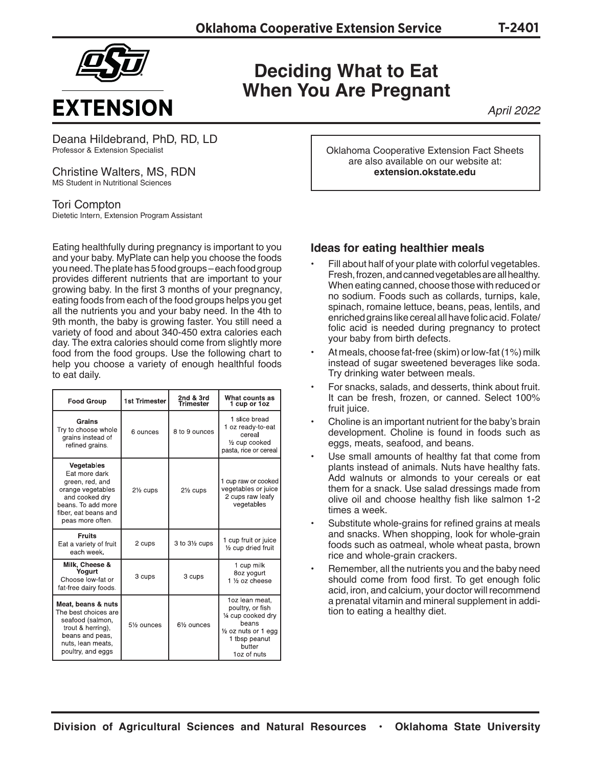

## **Deciding What to Eat When You Are Pregnant**

*April 2022*

Deana Hildebrand, PhD, RD, LD Professor & Extension Specialist

Christine Walters, MS, RDN MS Student in Nutritional Sciences

Tori Compton Dietetic Intern, Extension Program Assistant

Eating healthfully during pregnancy is important to you and your baby. MyPlate can help you choose the foods you need. The plate has 5 food groups – each food group provides different nutrients that are important to your growing baby. In the first 3 months of your pregnancy, eating foods from each of the food groups helps you get all the nutrients you and your baby need. In the 4th to 9th month, the baby is growing faster. You still need a variety of food and about 340-450 extra calories each day. The extra calories should come from slightly more food from the food groups. Use the following chart to help you choose a variety of enough healthful foods to eat daily.

| <b>Food Group</b>                                                                                                                                       | <b>1st Trimester</b>    | 2nd & 3rd<br>Trimester  | What counts as<br>1 cup or 1oz                                                                                                      |
|---------------------------------------------------------------------------------------------------------------------------------------------------------|-------------------------|-------------------------|-------------------------------------------------------------------------------------------------------------------------------------|
| Grains<br>Try to choose whole<br>grains instead of<br>refined grains.                                                                                   | 6 ounces                | 8 to 9 ounces           | 1 slice bread<br>1 oz ready-to-eat<br>cereal<br>$\frac{1}{2}$ cup cooked<br>pasta, rice or cereal                                   |
| Vegetables<br>Eat more dark<br>green, red, and<br>orange vegetables<br>and cooked dry<br>beans. To add more<br>fiber, eat beans and<br>peas more often. | 21/ <sub>2</sub> cups   | 21/ <sub>2</sub> cups   | 1 cup raw or cooked<br>vegetables or juice<br>2 cups raw leafy<br>vegetables                                                        |
| <b>Fruits</b><br>Eat a variety of fruit<br>each week.                                                                                                   | 2 cups                  | 3 to 31/2 cups          | 1 cup fruit or juice<br>1/2 cup dried fruit                                                                                         |
| Milk, Cheese &<br>Yoaurt<br>Choose low-fat or<br>fat-free dairy foods.                                                                                  | 3 cups                  | 3 cups                  | 1 cup milk<br>8oz yogurt<br>1 1/2 oz cheese                                                                                         |
| Meat, beans & nuts<br>The best choices are<br>seafood (salmon,<br>trout & herring),<br>beans and peas,<br>nuts, lean meats,<br>poultry, and eggs        | 51/ <sub>2</sub> ounces | 61/ <sub>2</sub> ounces | 1oz lean meat.<br>poultry, or fish<br>1/4 cup cooked dry<br>beans<br>1/2 oz nuts or 1 egg<br>1 tbsp peanut<br>butter<br>1oz of nuts |

Oklahoma Cooperative Extension Fact Sheets are also available on our website at: **extension.okstate.edu**

## **Ideas for eating healthier meals**

- Fill about half of your plate with colorful vegetables. Fresh, frozen, and canned vegetables are all healthy. When eating canned, choose those with reduced or no sodium. Foods such as collards, turnips, kale, spinach, romaine lettuce, beans, peas, lentils, and enriched grains like cereal all have folic acid. Folate/ folic acid is needed during pregnancy to protect your baby from birth defects.
- At meals, choose fat-free (skim) or low-fat (1%) milk instead of sugar sweetened beverages like soda. Try drinking water between meals.
- For snacks, salads, and desserts, think about fruit. It can be fresh, frozen, or canned. Select 100% fruit juice.
- Choline is an important nutrient for the baby's brain development. Choline is found in foods such as eggs, meats, seafood, and beans.
- Use small amounts of healthy fat that come from plants instead of animals. Nuts have healthy fats. Add walnuts or almonds to your cereals or eat them for a snack. Use salad dressings made from olive oil and choose healthy fish like salmon 1-2 times a week.
- Substitute whole-grains for refined grains at meals and snacks. When shopping, look for whole-grain foods such as oatmeal, whole wheat pasta, brown rice and whole-grain crackers.
- Remember, all the nutrients you and the baby need should come from food first. To get enough folic acid, iron, and calcium, your doctor will recommend a prenatal vitamin and mineral supplement in addition to eating a healthy diet.